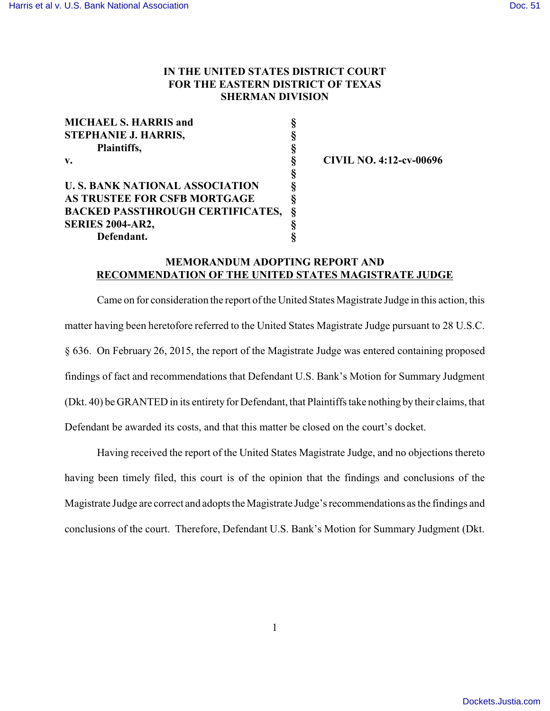## **IN THE UNITED STATES DISTRICT COURT FOR THE EASTERN DISTRICT OF TEXAS SHERMAN DIVISION**

| <b>MICHAEL S. HARRIS and</b><br>ş            |   |
|----------------------------------------------|---|
| STEPHANIE J. HARRIS,<br>ş                    |   |
| ş<br>Plaintiffs,                             |   |
| $\mathbf{v}$ .                               | ş |
|                                              | ş |
| <b>U. S. BANK NATIONAL ASSOCIATION</b><br>ş  |   |
| AS TRUSTEE FOR CSFB MORTGAGE<br>ş            |   |
| ş<br><b>BACKED PASSTHROUGH CERTIFICATES,</b> |   |
| ş<br><b>SERIES 2004-AR2,</b>                 |   |
| Defendant.                                   |   |

**v. § CIVIL NO. 4:12-cv-00696**

## **MEMORANDUM ADOPTING REPORT AND RECOMMENDATION OF THE UNITED STATES MAGISTRATE JUDGE**

Came on for consideration the report of the United States Magistrate Judge in this action, this matter having been heretofore referred to the United States Magistrate Judge pursuant to 28 U.S.C. § 636. On February 26, 2015, the report of the Magistrate Judge was entered containing proposed findings of fact and recommendations that Defendant U.S. Bank's Motion for Summary Judgment (Dkt. 40) be GRANTED in its entirety for Defendant, that Plaintiffs take nothing by their claims, that Defendant be awarded its costs, and that this matter be closed on the court's docket.

Having received the report of the United States Magistrate Judge, and no objections thereto having been timely filed, this court is of the opinion that the findings and conclusions of the Magistrate Judge are correct and adopts the Magistrate Judge's recommendations as the findings and conclusions of the court. Therefore, Defendant U.S. Bank's Motion for Summary Judgment (Dkt.